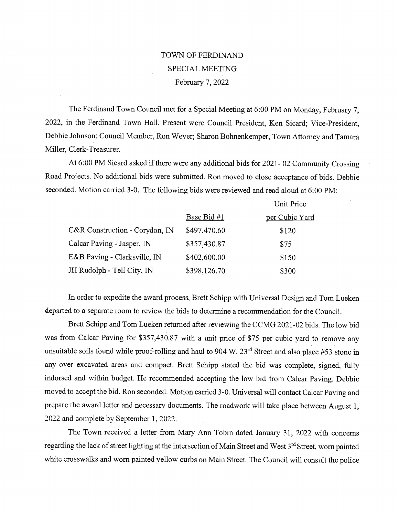## TOWN OF FERDINAND SPECIAL MEETING February 7, 2022

The Ferdinand Town Council met for a Special Meeting at 6:00 PM on Monday, February 7, 2022, in the Ferdinand Town Hall. Present were Council President, Ken Sicard; Vice-President, Debbie Johnson, Council Member, Ron Weyer; Sharon Bohnenkemper, Town Attorney and Tamara Miller, Clerk-Treasurer.

At 6:00 PM Sicard asked if there were any additional bids for 2021- 02 Community Crossing Road Projects. No additional bids were submitted. Ron moved to close acceptance of bids. Debbie seconded. Motion carried 3-0. The following bids were reviewed and read aloud at 6:00 PM:

|                                |              | Unit Price     |
|--------------------------------|--------------|----------------|
|                                | Base Bid #1  | per Cubic Yard |
| C&R Construction - Corydon, IN | \$497,470.60 | \$120          |
| Calcar Paving - Jasper, IN     | \$357,430.87 | \$75           |
| E&B Paving - Clarksville, IN   | \$402,600.00 | \$150          |
| JH Rudolph - Tell City, IN     | \$398,126.70 | \$300          |

In order to expedite the award process, Brett Schipp with Universal Design and Tom Lueken departed to a separate room to review the bids to determine a recommendation for the Council.

Brett Schipp and Tom Lueken returned after reviewing the CCMG 2021-02 bids. The low bid was from Calcar Paving for \$357,430.87 with a unit price of \$75 per cubic yard to remove any unsuitable soils found while proof-rolling and haul to 904 W.  $23<sup>rd</sup>$  Street and also place #53 stone in any over excavated areas and compact. Brett Schipp stated the bid was complete, signed, fully indorsed and within budget. He recommended accepting the low bid from Calcar Paving. Debbie moved to accept the bid. Ron seconded. Motion carried 3-0. Universal will contact Calcar Paving and prepare the award letter and necessary documents. The roadwork will take place between August 1, 2022 and complete by September 1, 2022.

The Town received a letter from Mary Ann Tobin dated January 31, 2022 with concerns regarding the lack of street lighting at the intersection of Main Street and West 3rd Street, worn painted white crosswalks and worn painted yellow curbs on Main Street. The Council will consult the police